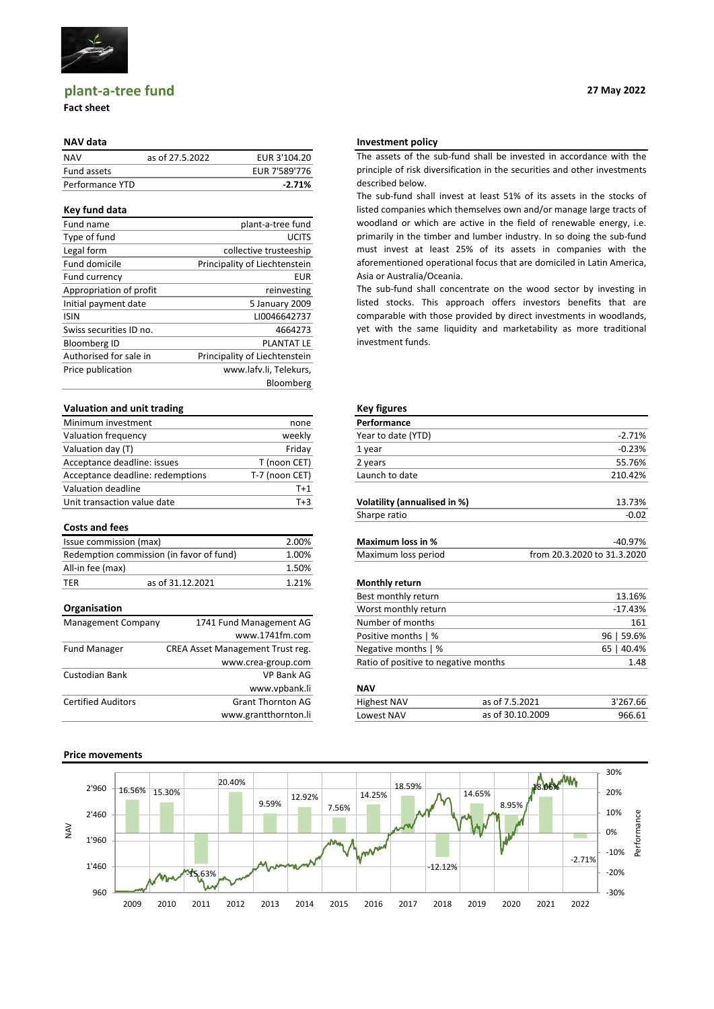

# **plant-a-tree fund**

## **Fact sheet**

| <b>NAV</b>      | as of 27.5.2022 | EUR 3'104.20  |
|-----------------|-----------------|---------------|
| Fund assets     |                 | EUR 7'589'776 |
| Performance YTD |                 | $-2.71%$      |

## **Key fund data**

| Fund name               | plant-a-tree fund             |
|-------------------------|-------------------------------|
| Type of fund            | <b>UCITS</b>                  |
| Legal form              | collective trusteeship        |
| Fund domicile           | Principality of Liechtenstein |
| Fund currency           | <b>EUR</b>                    |
| Appropriation of profit | reinvesting                   |
| Initial payment date    | 5 January 2009                |
| <b>ISIN</b>             | LI0046642737                  |
| Swiss securities ID no. | 4664273                       |
| <b>Bloomberg ID</b>     | <b>PLANTAT LE</b>             |
| Authorised for sale in  | Principality of Liechtenstein |
| Price publication       | www.lafv.li, Telekurs,        |
|                         | Bloomberg                     |
|                         |                               |

## **Valuation and unit trading <b>Key figures Key figures**

| Minimum investment               | none           | Performance    |
|----------------------------------|----------------|----------------|
| Valuation frequency              | weekly         | Year to date   |
| Valuation day (T)                | Friday         | 1 year         |
| Acceptance deadline: issues      | T (noon CET)   | 2 years        |
| Acceptance deadline: redemptions | T-7 (noon CET) | Launch to da   |
| Valuation deadline               | T+1            |                |
| Unit transaction value date      | $T+3$          | Volatility (an |

### **Costs and fees**

| Issue commission (max) | <b>Maximum loss</b>                      |       |                       |
|------------------------|------------------------------------------|-------|-----------------------|
|                        | Redemption commission (in favor of fund) | 1.00% | Maximum loss r        |
| All-in fee (max)       |                                          | 1.50% |                       |
| TER                    | as of 31.12.2021                         | 1.21% | <b>Monthly return</b> |

| <b>Management Company</b> | 1741 Fund Management AG          | Num        |
|---------------------------|----------------------------------|------------|
|                           | www.1741fm.com                   | Posit      |
| <b>Fund Manager</b>       | CREA Asset Management Trust reg. | Nega       |
|                           | www.crea-group.com               | Ratio      |
| Custodian Bank            | <b>VP Bank AG</b>                |            |
|                           | www.vpbank.li                    | <b>NAV</b> |
| <b>Certified Auditors</b> | <b>Grant Thornton AG</b>         | High       |
|                           | www.grantthornton.li             | Low        |

# **Price movements**

**27 May 2022**

## **NAV data Investment policy**

The assets of the sub-fund shall be invested in accordance with the principle of risk diversification in the securities and other investments described below.

The sub-fund shall invest at least 51% of its assets in the stocks of listed companies which themselves own and/or manage large tracts of woodland or which are active in the field of renewable energy, i.e. primarily in the timber and lumber industry. In so doing the sub-fund must invest at least 25% of its assets in companies with the aforementioned operational focus that are domiciled in Latin America, Asia or Australia/Oceania.

The sub-fund shall concentrate on the wood sector by investing in listed stocks. This approach offers investors benefits that are comparable with those provided by direct investments in woodlands, yet with the same liquidity and marketability as more traditional investment funds.

| Minimum investment    |                                          | none           | Performance                  |                             |
|-----------------------|------------------------------------------|----------------|------------------------------|-----------------------------|
| Valuation frequency   |                                          | weekly         | Year to date (YTD)           | $-2.71%$                    |
| Valuation day (T)     |                                          | Friday         | 1 year                       | $-0.23%$                    |
|                       | Acceptance deadline: issues              | T (noon CET)   | 2 years                      | 55.76%                      |
|                       | Acceptance deadline: redemptions         | T-7 (noon CET) | Launch to date               | 210.42%                     |
| Valuation deadline    |                                          | $T+1$          |                              |                             |
|                       | Unit transaction value date              | $T+3$          | Volatility (annualised in %) | 13.73%                      |
|                       |                                          |                | Sharpe ratio                 | $-0.02$                     |
| <b>Costs and fees</b> |                                          |                |                              |                             |
|                       | Issue commission (max)                   | 2.00%          | Maximum loss in %            | -40.97%                     |
|                       | Redemption commission (in favor of fund) | 1.00%          | Maximum loss period          | from 20.3.2020 to 31.3.2020 |
| All-in fee (max)      |                                          | 1.50%          |                              |                             |
| TER                   | as of 31.12.2021                         | 1.21%          | <b>Monthly return</b>        |                             |
|                       |                                          |                | Best monthly return          | 13 16%                      |

|                                           |                                  | Best monthly return                  | 13.16%     |  |
|-------------------------------------------|----------------------------------|--------------------------------------|------------|--|
| Organisation                              |                                  | Worst monthly return                 | $-17.43%$  |  |
| Management Company                        | 1741 Fund Management AG          | Number of months                     | 161        |  |
|                                           | www.1741fm.com                   | Positive months   %                  | 96   59.6% |  |
| <b>Fund Manager</b>                       | CREA Asset Management Trust reg. | Negative months   %                  | 65   40.4% |  |
|                                           | www.crea-group.com               | Ratio of positive to negative months | 1.48       |  |
| $\sim$ $\sim$ $\sim$ $\sim$ $\sim$ $\sim$ | $\sqrt{2}$                       |                                      |            |  |

| <b>Certified Auditors</b> | Thornton AG               | <b>Highest NAV</b>  | 2021          | $- - - -$<br>57.66 ل |
|---------------------------|---------------------------|---------------------|---------------|----------------------|
|                           | v.grantthornton.li<br>www | owest NAV.<br>_U V* | 2009<br>∍c ∩t | 966.61               |